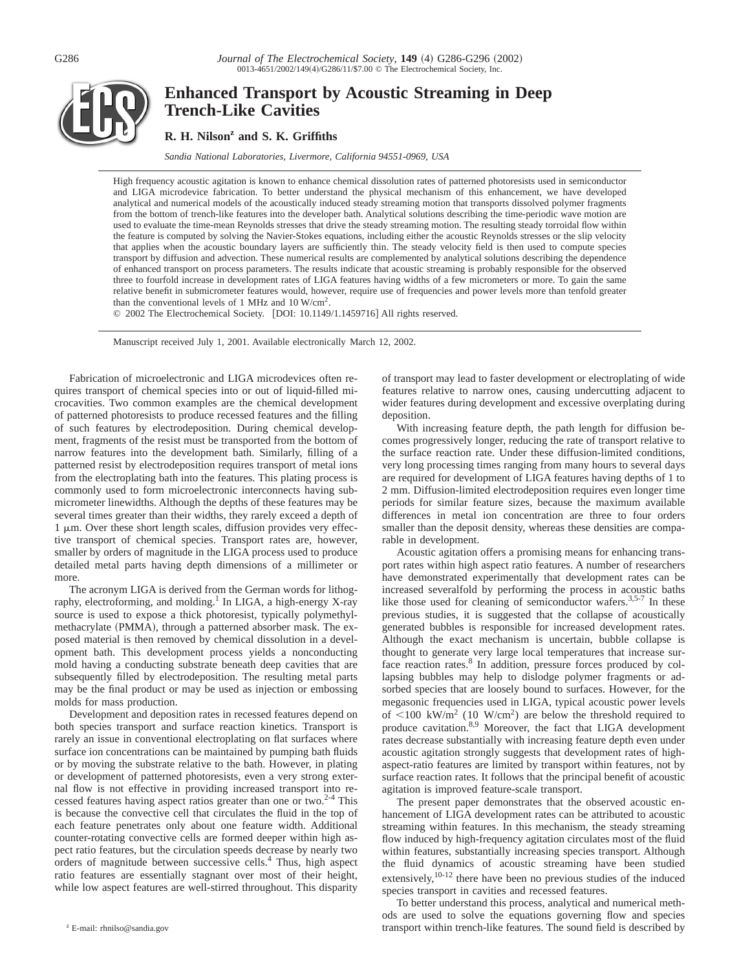

# **Enhanced Transport by Acoustic Streaming in Deep Trench-Like Cavities**

**R. H. Nilsonz and S. K. Griffiths**

*Sandia National Laboratories, Livermore, California 94551-0969, USA*

High frequency acoustic agitation is known to enhance chemical dissolution rates of patterned photoresists used in semiconductor and LIGA microdevice fabrication. To better understand the physical mechanism of this enhancement, we have developed analytical and numerical models of the acoustically induced steady streaming motion that transports dissolved polymer fragments from the bottom of trench-like features into the developer bath. Analytical solutions describing the time-periodic wave motion are used to evaluate the time-mean Reynolds stresses that drive the steady streaming motion. The resulting steady torroidal flow within the feature is computed by solving the Navier-Stokes equations, including either the acoustic Reynolds stresses or the slip velocity that applies when the acoustic boundary layers are sufficiently thin. The steady velocity field is then used to compute species transport by diffusion and advection. These numerical results are complemented by analytical solutions describing the dependence of enhanced transport on process parameters. The results indicate that acoustic streaming is probably responsible for the observed three to fourfold increase in development rates of LIGA features having widths of a few micrometers or more. To gain the same relative benefit in submicrometer features would, however, require use of frequencies and power levels more than tenfold greater than the conventional levels of 1 MHz and 10 W/cm<sup>2</sup>.

© 2002 The Electrochemical Society. [DOI: 10.1149/1.1459716] All rights reserved.

Manuscript received July 1, 2001. Available electronically March 12, 2002.

Fabrication of microelectronic and LIGA microdevices often requires transport of chemical species into or out of liquid-filled microcavities. Two common examples are the chemical development of patterned photoresists to produce recessed features and the filling of such features by electrodeposition. During chemical development, fragments of the resist must be transported from the bottom of narrow features into the development bath. Similarly, filling of a patterned resist by electrodeposition requires transport of metal ions from the electroplating bath into the features. This plating process is commonly used to form microelectronic interconnects having submicrometer linewidths. Although the depths of these features may be several times greater than their widths, they rarely exceed a depth of  $1 \mu$ m. Over these short length scales, diffusion provides very effective transport of chemical species. Transport rates are, however, smaller by orders of magnitude in the LIGA process used to produce detailed metal parts having depth dimensions of a millimeter or more.

The acronym LIGA is derived from the German words for lithography, electroforming, and molding.<sup>1</sup> In LIGA, a high-energy X-ray source is used to expose a thick photoresist, typically polymethylmethacrylate (PMMA), through a patterned absorber mask. The exposed material is then removed by chemical dissolution in a development bath. This development process yields a nonconducting mold having a conducting substrate beneath deep cavities that are subsequently filled by electrodeposition. The resulting metal parts may be the final product or may be used as injection or embossing molds for mass production.

Development and deposition rates in recessed features depend on both species transport and surface reaction kinetics. Transport is rarely an issue in conventional electroplating on flat surfaces where surface ion concentrations can be maintained by pumping bath fluids or by moving the substrate relative to the bath. However, in plating or development of patterned photoresists, even a very strong external flow is not effective in providing increased transport into recessed features having aspect ratios greater than one or two. $2-4$  This is because the convective cell that circulates the fluid in the top of each feature penetrates only about one feature width. Additional counter-rotating convective cells are formed deeper within high aspect ratio features, but the circulation speeds decrease by nearly two orders of magnitude between successive cells.4 Thus, high aspect ratio features are essentially stagnant over most of their height, while low aspect features are well-stirred throughout. This disparity

of transport may lead to faster development or electroplating of wide features relative to narrow ones, causing undercutting adjacent to wider features during development and excessive overplating during deposition.

With increasing feature depth, the path length for diffusion becomes progressively longer, reducing the rate of transport relative to the surface reaction rate. Under these diffusion-limited conditions, very long processing times ranging from many hours to several days are required for development of LIGA features having depths of 1 to 2 mm. Diffusion-limited electrodeposition requires even longer time periods for similar feature sizes, because the maximum available differences in metal ion concentration are three to four orders smaller than the deposit density, whereas these densities are comparable in development.

Acoustic agitation offers a promising means for enhancing transport rates within high aspect ratio features. A number of researchers have demonstrated experimentally that development rates can be increased severalfold by performing the process in acoustic baths like those used for cleaning of semiconductor wafers.<sup>3,5-7</sup> In these previous studies, it is suggested that the collapse of acoustically generated bubbles is responsible for increased development rates. Although the exact mechanism is uncertain, bubble collapse is thought to generate very large local temperatures that increase surface reaction rates.<sup>8</sup> In addition, pressure forces produced by collapsing bubbles may help to dislodge polymer fragments or adsorbed species that are loosely bound to surfaces. However, for the megasonic frequencies used in LIGA, typical acoustic power levels of  $\langle 100 \text{ kW/m}^2 (10 \text{ W/cm}^2)$  are below the threshold required to produce cavitation.8,9 Moreover, the fact that LIGA development rates decrease substantially with increasing feature depth even under acoustic agitation strongly suggests that development rates of highaspect-ratio features are limited by transport within features, not by surface reaction rates. It follows that the principal benefit of acoustic agitation is improved feature-scale transport.

The present paper demonstrates that the observed acoustic enhancement of LIGA development rates can be attributed to acoustic streaming within features. In this mechanism, the steady streaming flow induced by high-frequency agitation circulates most of the fluid within features, substantially increasing species transport. Although the fluid dynamics of acoustic streaming have been studied extensively,  $10^{-12}$  there have been no previous studies of the induced species transport in cavities and recessed features.

To better understand this process, analytical and numerical methods are used to solve the equations governing flow and species z E-mail: rhnilso@sandia.gov **https://within trench-like features. The sound field is described by z** E-mail: rhnilso@sandia.gov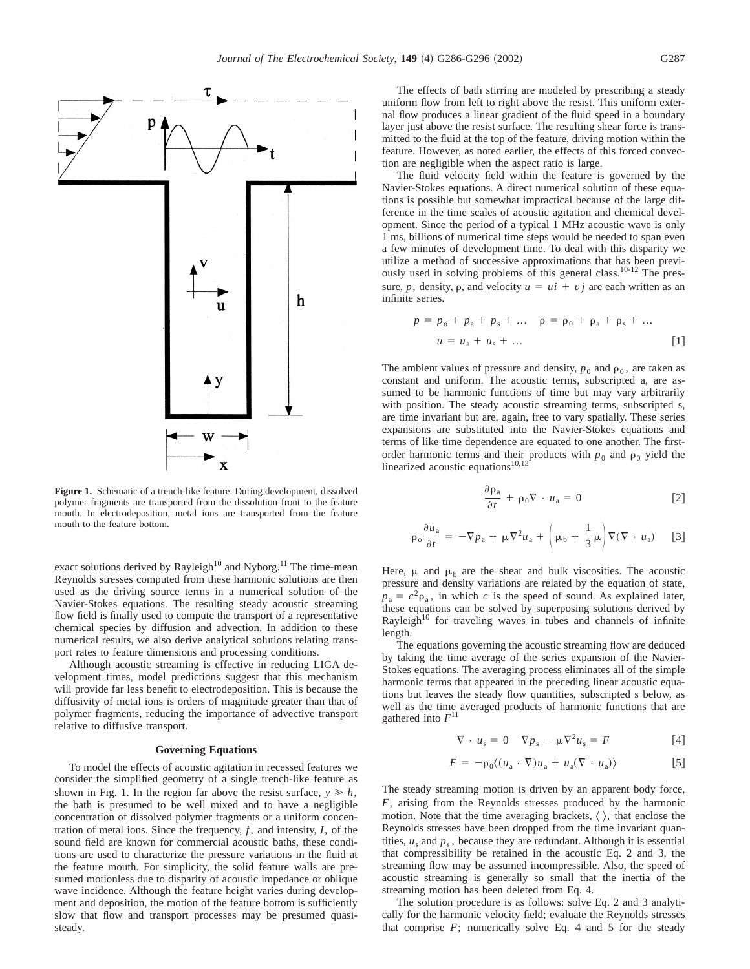

**Figure 1.** Schematic of a trench-like feature. During development, dissolved polymer fragments are transported from the dissolution front to the feature mouth. In electrodeposition, metal ions are transported from the feature mouth to the feature bottom.

exact solutions derived by Rayleigh<sup>10</sup> and Nyborg.<sup>11</sup> The time-mean Reynolds stresses computed from these harmonic solutions are then used as the driving source terms in a numerical solution of the Navier-Stokes equations. The resulting steady acoustic streaming flow field is finally used to compute the transport of a representative chemical species by diffusion and advection. In addition to these numerical results, we also derive analytical solutions relating transport rates to feature dimensions and processing conditions.

Although acoustic streaming is effective in reducing LIGA development times, model predictions suggest that this mechanism will provide far less benefit to electrodeposition. This is because the diffusivity of metal ions is orders of magnitude greater than that of polymer fragments, reducing the importance of advective transport relative to diffusive transport.

# **Governing Equations**

To model the effects of acoustic agitation in recessed features we consider the simplified geometry of a single trench-like feature as shown in Fig. 1. In the region far above the resist surface,  $y \ge h$ , the bath is presumed to be well mixed and to have a negligible concentration of dissolved polymer fragments or a uniform concentration of metal ions. Since the frequency,  $f$ , and intensity,  $I$ , of the sound field are known for commercial acoustic baths, these conditions are used to characterize the pressure variations in the fluid at the feature mouth. For simplicity, the solid feature walls are presumed motionless due to disparity of acoustic impedance or oblique wave incidence. Although the feature height varies during development and deposition, the motion of the feature bottom is sufficiently slow that flow and transport processes may be presumed quasisteady.

The effects of bath stirring are modeled by prescribing a steady uniform flow from left to right above the resist. This uniform external flow produces a linear gradient of the fluid speed in a boundary layer just above the resist surface. The resulting shear force is transmitted to the fluid at the top of the feature, driving motion within the feature. However, as noted earlier, the effects of this forced convection are negligible when the aspect ratio is large.

The fluid velocity field within the feature is governed by the Navier-Stokes equations. A direct numerical solution of these equations is possible but somewhat impractical because of the large difference in the time scales of acoustic agitation and chemical development. Since the period of a typical 1 MHz acoustic wave is only 1 ms, billions of numerical time steps would be needed to span even a few minutes of development time. To deal with this disparity we utilize a method of successive approximations that has been previously used in solving problems of this general class.<sup>10-12</sup> The pressure, p, density, p, and velocity  $u = ui + vj$  are each written as an infinite series.

$$
p = p_0 + p_a + p_s + \dots \quad p = p_0 + p_a + p_s + \dots
$$
  

$$
u = u_a + u_s + \dots
$$
 [1]

The ambient values of pressure and density,  $p_0$  and  $\rho_0$ , are taken as constant and uniform. The acoustic terms, subscripted a, are assumed to be harmonic functions of time but may vary arbitrarily with position. The steady acoustic streaming terms, subscripted s, are time invariant but are, again, free to vary spatially. These series expansions are substituted into the Navier-Stokes equations and terms of like time dependence are equated to one another. The firstorder harmonic terms and their products with  $p_0$  and  $\rho_0$  yield the linearized acoustic equations<sup>10,13</sup>

$$
\frac{\partial \rho_a}{\partial t} + \rho_0 \nabla \cdot u_a = 0 \tag{2}
$$

$$
\rho_o \frac{\partial u_a}{\partial t} = -\nabla p_a + \mu \nabla^2 u_a + \left(\mu_b + \frac{1}{3}\mu\right) \nabla (\nabla \cdot u_a) \quad [3]
$$

Here,  $\mu$  and  $\mu_b$  are the shear and bulk viscosities. The acoustic pressure and density variations are related by the equation of state,  $p_a = c^2 \rho_a$ , in which *c* is the speed of sound. As explained later, these equations can be solved by superposing solutions derived by Rayleigh<sup>10</sup> for traveling waves in tubes and channels of infinite length.

The equations governing the acoustic streaming flow are deduced by taking the time average of the series expansion of the Navier-Stokes equations. The averaging process eliminates all of the simple harmonic terms that appeared in the preceding linear acoustic equations but leaves the steady flow quantities, subscripted s below, as well as the time averaged products of harmonic functions that are gathered into *F*<sup>11</sup>

$$
\nabla \cdot u_{s} = 0 \quad \nabla p_{s} - \mu \nabla^{2} u_{s} = F \tag{4}
$$

$$
F = -\rho_0 \langle (u_a \cdot \nabla)u_a + u_a(\nabla \cdot u_a) \rangle \tag{5}
$$

The steady streaming motion is driven by an apparent body force, *F*, arising from the Reynolds stresses produced by the harmonic motion. Note that the time averaging brackets,  $\langle \ \rangle$ , that enclose the Reynolds stresses have been dropped from the time invariant quantities,  $u_s$  and  $p_s$ , because they are redundant. Although it is essential that compressibility be retained in the acoustic Eq. 2 and 3, the streaming flow may be assumed incompressible. Also, the speed of acoustic streaming is generally so small that the inertia of the streaming motion has been deleted from Eq. 4.

The solution procedure is as follows: solve Eq. 2 and 3 analytically for the harmonic velocity field; evaluate the Reynolds stresses that comprise  $F$ ; numerically solve Eq. 4 and 5 for the steady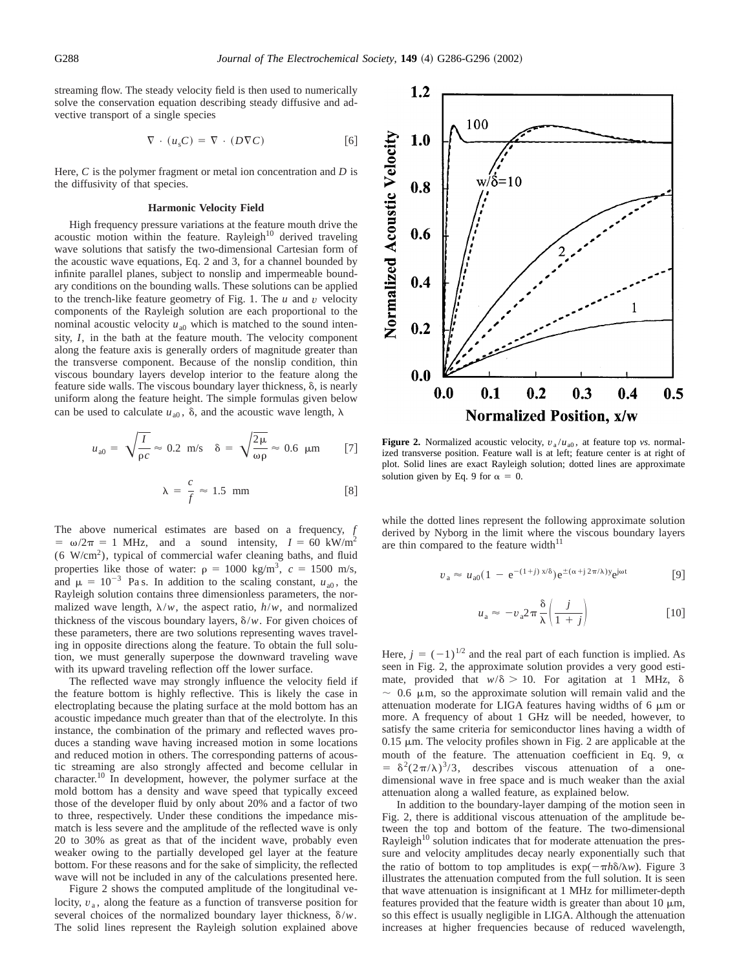streaming flow. The steady velocity field is then used to numerically solve the conservation equation describing steady diffusive and advective transport of a single species

$$
\nabla \cdot (u_s C) = \nabla \cdot (D \nabla C) \tag{6}
$$

Here, *C* is the polymer fragment or metal ion concentration and *D* is the diffusivity of that species.

# **Harmonic Velocity Field**

High frequency pressure variations at the feature mouth drive the acoustic motion within the feature. Rayleigh $^{10}$  derived traveling wave solutions that satisfy the two-dimensional Cartesian form of the acoustic wave equations, Eq. 2 and 3, for a channel bounded by infinite parallel planes, subject to nonslip and impermeable boundary conditions on the bounding walls. These solutions can be applied to the trench-like feature geometry of Fig. 1. The *u* and *v* velocity components of the Rayleigh solution are each proportional to the nominal acoustic velocity  $u_{a0}$  which is matched to the sound intensity, *I*, in the bath at the feature mouth. The velocity component along the feature axis is generally orders of magnitude greater than the transverse component. Because of the nonslip condition, thin viscous boundary layers develop interior to the feature along the feature side walls. The viscous boundary layer thickness,  $\delta$ , is nearly uniform along the feature height. The simple formulas given below can be used to calculate  $u_{a0}$ ,  $\delta$ , and the acoustic wave length,  $\lambda$ 

$$
u_{a0} = \sqrt{\frac{I}{\rho c}} \approx 0.2 \text{ m/s} \quad \delta = \sqrt{\frac{2\mu}{\omega \rho}} \approx 0.6 \text{ }\mu\text{m} \tag{7}
$$

$$
\lambda = \frac{c}{f} \approx 1.5 \text{ mm} \tag{8}
$$

The above numerical estimates are based on a frequency, *f*  $= \omega/2\pi = 1$  MHz, and a sound intensity,  $I = 60$  kW/m<sup>2</sup>  $(6 \text{ W/cm}^2)$ , typical of commercial wafer cleaning baths, and fluid properties like those of water:  $\rho = 1000 \text{ kg/m}^3$ ,  $c = 1500 \text{ m/s}$ , and  $\mu = 10^{-3}$  Pa s. In addition to the scaling constant,  $u_{a0}$ , the Rayleigh solution contains three dimensionless parameters, the normalized wave length,  $\lambda/w$ , the aspect ratio,  $h/w$ , and normalized thickness of the viscous boundary layers,  $\delta/w$ . For given choices of these parameters, there are two solutions representing waves traveling in opposite directions along the feature. To obtain the full solution, we must generally superpose the downward traveling wave with its upward traveling reflection off the lower surface.

The reflected wave may strongly influence the velocity field if the feature bottom is highly reflective. This is likely the case in electroplating because the plating surface at the mold bottom has an acoustic impedance much greater than that of the electrolyte. In this instance, the combination of the primary and reflected waves produces a standing wave having increased motion in some locations and reduced motion in others. The corresponding patterns of acoustic streaming are also strongly affected and become cellular in character.<sup>10</sup> In development, however, the polymer surface at the mold bottom has a density and wave speed that typically exceed those of the developer fluid by only about 20% and a factor of two to three, respectively. Under these conditions the impedance mismatch is less severe and the amplitude of the reflected wave is only 20 to 30% as great as that of the incident wave, probably even weaker owing to the partially developed gel layer at the feature bottom. For these reasons and for the sake of simplicity, the reflected wave will not be included in any of the calculations presented here.

Figure 2 shows the computed amplitude of the longitudinal velocity,  $v_a$ , along the feature as a function of transverse position for several choices of the normalized boundary layer thickness,  $\delta/w$ . The solid lines represent the Rayleigh solution explained above



**Figure 2.** Normalized acoustic velocity,  $v_a/u_{a0}$ , at feature top *vs.* normalized transverse position. Feature wall is at left; feature center is at right of plot. Solid lines are exact Rayleigh solution; dotted lines are approximate solution given by Eq. 9 for  $\alpha = 0$ .

while the dotted lines represent the following approximate solution derived by Nyborg in the limit where the viscous boundary layers are thin compared to the feature width $11$ 

$$
v_{\rm a} \approx u_{\rm a0} (1 - e^{-(1+j)x/\delta}) e^{\pm(\alpha+j2\pi/\lambda)y} e^{j\omega t}
$$
 [9]

$$
u_{\rm a} \approx -v_{\rm a} 2\pi \frac{\delta}{\lambda} \left( \frac{j}{1+j} \right) \tag{10}
$$

Here,  $j = (-1)^{1/2}$  and the real part of each function is implied. As seen in Fig. 2, the approximate solution provides a very good estimate, provided that  $w/\delta > 10$ . For agitation at 1 MHz,  $\delta$  $\sim$  0.6  $\mu$ m, so the approximate solution will remain valid and the attenuation moderate for LIGA features having widths of 6  $\mu$ m or more. A frequency of about 1 GHz will be needed, however, to satisfy the same criteria for semiconductor lines having a width of  $0.15 \mu$ m. The velocity profiles shown in Fig. 2 are applicable at the mouth of the feature. The attenuation coefficient in Eq. 9,  $\alpha$  $= \delta^2 (2\pi/\lambda)^3/3$ , describes viscous attenuation of a onedimensional wave in free space and is much weaker than the axial attenuation along a walled feature, as explained below.

In addition to the boundary-layer damping of the motion seen in Fig. 2, there is additional viscous attenuation of the amplitude between the top and bottom of the feature. The two-dimensional Rayleigh $10$  solution indicates that for moderate attenuation the pressure and velocity amplitudes decay nearly exponentially such that the ratio of bottom to top amplitudes is  $exp(-\pi h \delta/\lambda w)$ . Figure 3 illustrates the attenuation computed from the full solution. It is seen that wave attenuation is insignificant at 1 MHz for millimeter-depth features provided that the feature width is greater than about 10  $\mu$ m, so this effect is usually negligible in LIGA. Although the attenuation increases at higher frequencies because of reduced wavelength,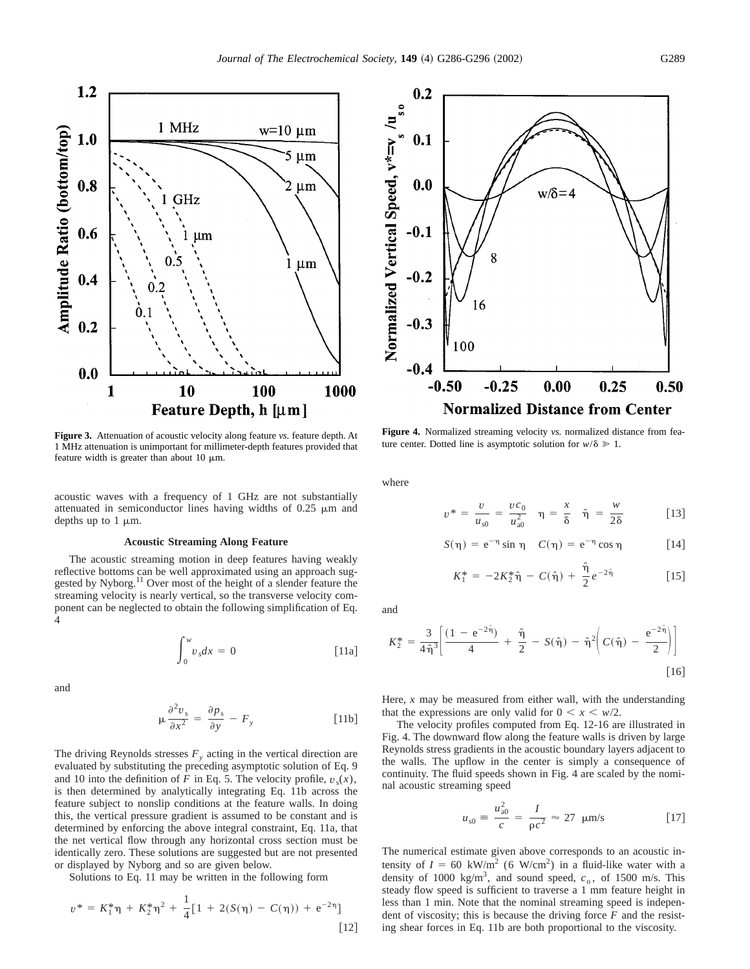

**Figure 3.** Attenuation of acoustic velocity along feature *vs.* feature depth. At 1 MHz attenuation is unimportant for millimeter-depth features provided that feature width is greater than about 10  $\mu$ m.

acoustic waves with a frequency of 1 GHz are not substantially attenuated in semiconductor lines having widths of  $0.25 \mu m$  and depths up to  $1 \mu m$ .

## **Acoustic Streaming Along Feature**

The acoustic streaming motion in deep features having weakly reflective bottoms can be well approximated using an approach suggested by Nyborg.<sup>11</sup> Over most of the height of a slender feature the streaming velocity is nearly vertical, so the transverse velocity component can be neglected to obtain the following simplification of Eq. 4

$$
\int_{0}^{w} v_{s} dx = 0
$$
 [11a]

and

$$
\mu \frac{\partial^2 v_s}{\partial x^2} = \frac{\partial p_s}{\partial y} - F_y \tag{11b}
$$

The driving Reynolds stresses  $F_y$  acting in the vertical direction are evaluated by substituting the preceding asymptotic solution of Eq. 9 and 10 into the definition of *F* in Eq. 5. The velocity profile,  $v_s(x)$ , is then determined by analytically integrating Eq. 11b across the feature subject to nonslip conditions at the feature walls. In doing this, the vertical pressure gradient is assumed to be constant and is determined by enforcing the above integral constraint, Eq. 11a, that the net vertical flow through any horizontal cross section must be identically zero. These solutions are suggested but are not presented or displayed by Nyborg and so are given below.

Solutions to Eq. 11 may be written in the following form

$$
v^* = K_1^* \eta + K_2^* \eta^2 + \frac{1}{4} [1 + 2(S(\eta) - C(\eta)) + e^{-2\eta}]
$$
\n[12]



**Figure 4.** Normalized streaming velocity *vs.* normalized distance from feature center. Dotted line is asymptotic solution for  $w/\delta \ge 1$ .

where

$$
v^* = \frac{v}{u_{s0}} = \frac{v c_0}{u_{s0}^2} \quad \eta = \frac{x}{\delta} \quad \hat{\eta} = \frac{w}{2\delta} \tag{13}
$$

$$
S(\eta) = e^{-\eta} \sin \eta \quad C(\eta) = e^{-\eta} \cos \eta \qquad [14]
$$

$$
K_1^* = -2K_2^*\hat{\eta} - C(\hat{\eta}) + \frac{\hat{\eta}}{2}e^{-2\hat{\eta}}
$$
 [15]

and

$$
K_2^* = \frac{3}{4\hat{\eta}^3} \bigg[ \frac{(1 - e^{-2\hat{\eta}})}{4} + \frac{\hat{\eta}}{2} - S(\hat{\eta}) - \hat{\eta}^2 \bigg( C(\hat{\eta}) - \frac{e^{-2\hat{\eta}}}{2} \bigg) \bigg]
$$
\n[16]

Here, *x* may be measured from either wall, with the understanding that the expressions are only valid for  $0 \le x \le w/2$ .

The velocity profiles computed from Eq. 12-16 are illustrated in Fig. 4. The downward flow along the feature walls is driven by large Reynolds stress gradients in the acoustic boundary layers adjacent to the walls. The upflow in the center is simply a consequence of continuity. The fluid speeds shown in Fig. 4 are scaled by the nominal acoustic streaming speed

$$
u_{s0} = \frac{u_{a0}^2}{c} = \frac{I}{\rho c^2} \approx 27 \text{ \ \mu m/s}
$$
 [17]

The numerical estimate given above corresponds to an acoustic intensity of  $I = 60$  kW/m<sup>2</sup> (6 W/cm<sup>2</sup>) in a fluid-like water with a density of 1000 kg/m<sup>3</sup>, and sound speed,  $c_0$ , of 1500 m/s. This steady flow speed is sufficient to traverse a 1 mm feature height in less than 1 min. Note that the nominal streaming speed is independent of viscosity; this is because the driving force *F* and the resisting shear forces in Eq. 11b are both proportional to the viscosity.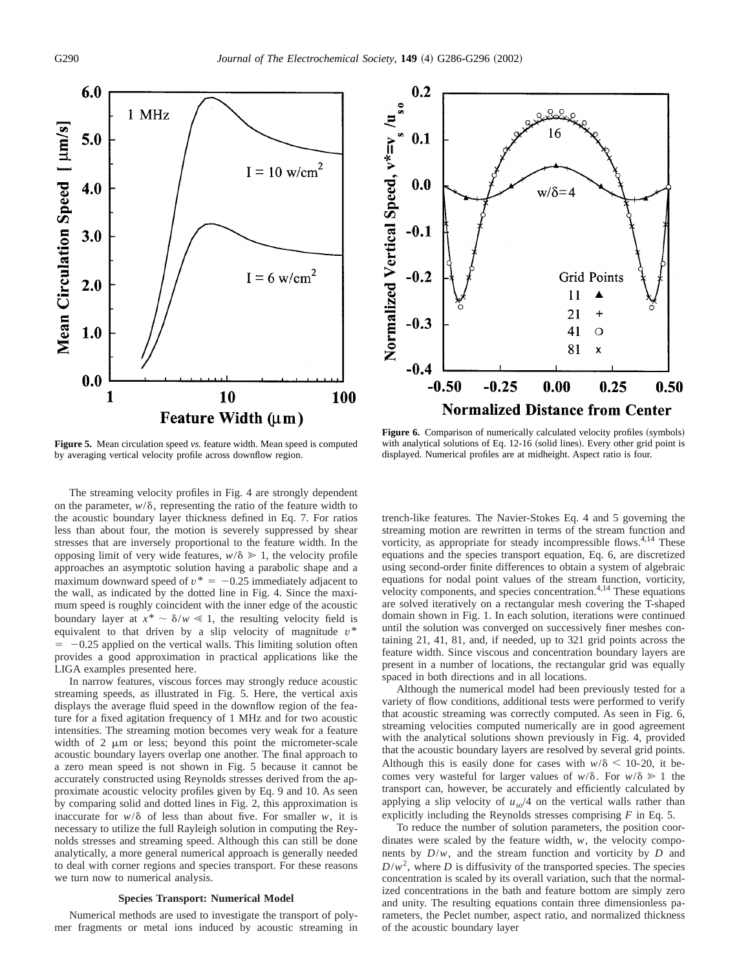



**Figure 5.** Mean circulation speed *vs.* feature width. Mean speed is computed by averaging vertical velocity profile across downflow region.

The streaming velocity profiles in Fig. 4 are strongly dependent on the parameter,  $w/\delta$ , representing the ratio of the feature width to the acoustic boundary layer thickness defined in Eq. 7. For ratios less than about four, the motion is severely suppressed by shear stresses that are inversely proportional to the feature width. In the opposing limit of very wide features,  $w/\delta \geq 1$ , the velocity profile approaches an asymptotic solution having a parabolic shape and a maximum downward speed of  $v^* = -0.25$  immediately adjacent to the wall, as indicated by the dotted line in Fig. 4. Since the maximum speed is roughly coincident with the inner edge of the acoustic boundary layer at  $x^* \sim \delta/w \ll 1$ , the resulting velocity field is equivalent to that driven by a slip velocity of magnitude  $v^*$  $= -0.25$  applied on the vertical walls. This limiting solution often provides a good approximation in practical applications like the LIGA examples presented here.

In narrow features, viscous forces may strongly reduce acoustic streaming speeds, as illustrated in Fig. 5. Here, the vertical axis displays the average fluid speed in the downflow region of the feature for a fixed agitation frequency of 1 MHz and for two acoustic intensities. The streaming motion becomes very weak for a feature width of  $2 \mu m$  or less; beyond this point the micrometer-scale acoustic boundary layers overlap one another. The final approach to a zero mean speed is not shown in Fig. 5 because it cannot be accurately constructed using Reynolds stresses derived from the approximate acoustic velocity profiles given by Eq. 9 and 10. As seen by comparing solid and dotted lines in Fig. 2, this approximation is inaccurate for  $w/\delta$  of less than about five. For smaller *w*, it is necessary to utilize the full Rayleigh solution in computing the Reynolds stresses and streaming speed. Although this can still be done analytically, a more general numerical approach is generally needed to deal with corner regions and species transport. For these reasons we turn now to numerical analysis.

# **Species Transport: Numerical Model**

Numerical methods are used to investigate the transport of polymer fragments or metal ions induced by acoustic streaming in

Figure 6. Comparison of numerically calculated velocity profiles (symbols) with analytical solutions of Eq. 12-16 (solid lines). Every other grid point is displayed. Numerical profiles are at midheight. Aspect ratio is four.

trench-like features. The Navier-Stokes Eq. 4 and 5 governing the streaming motion are rewritten in terms of the stream function and vorticity, as appropriate for steady incompressible flows.  $4,14$  These equations and the species transport equation, Eq. 6, are discretized using second-order finite differences to obtain a system of algebraic equations for nodal point values of the stream function, vorticity, velocity components, and species concentration.<sup>4,14</sup> These equations are solved iteratively on a rectangular mesh covering the T-shaped domain shown in Fig. 1. In each solution, iterations were continued until the solution was converged on successively finer meshes containing 21, 41, 81, and, if needed, up to 321 grid points across the feature width. Since viscous and concentration boundary layers are present in a number of locations, the rectangular grid was equally spaced in both directions and in all locations.

Although the numerical model had been previously tested for a variety of flow conditions, additional tests were performed to verify that acoustic streaming was correctly computed. As seen in Fig. 6, streaming velocities computed numerically are in good agreement with the analytical solutions shown previously in Fig. 4, provided that the acoustic boundary layers are resolved by several grid points. Although this is easily done for cases with  $w/\delta$  < 10-20, it becomes very wasteful for larger values of  $w/\delta$ . For  $w/\delta \ge 1$  the transport can, however, be accurately and efficiently calculated by applying a slip velocity of  $u_{\rm so}/4$  on the vertical walls rather than explicitly including the Reynolds stresses comprising *F* in Eq. 5.

To reduce the number of solution parameters, the position coordinates were scaled by the feature width, *w*, the velocity components by *D*/*w*, and the stream function and vorticity by *D* and  $D/w^2$ , where *D* is diffusivity of the transported species. The species concentration is scaled by its overall variation, such that the normalized concentrations in the bath and feature bottom are simply zero and unity. The resulting equations contain three dimensionless parameters, the Peclet number, aspect ratio, and normalized thickness of the acoustic boundary layer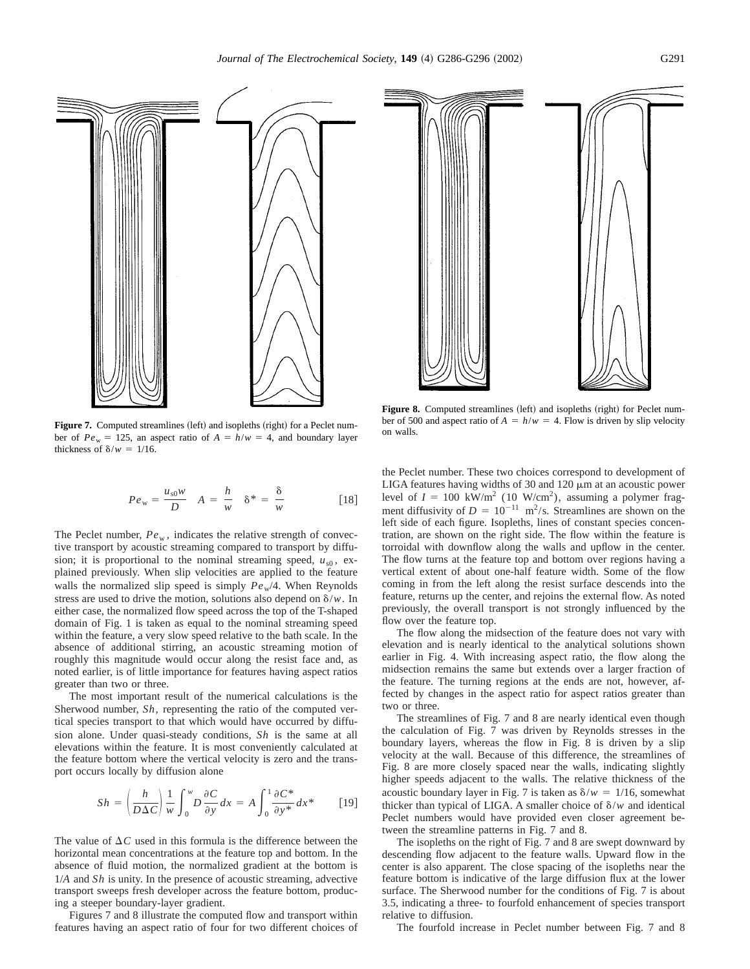

Figure 7. Computed streamlines (left) and isopleths (right) for a Peclet number of  $Pe_w = 125$ , an aspect ratio of  $A = h/w = 4$ , and boundary layer thickness of  $\delta/w = 1/16$ .

$$
Pe_{\rm w} = \frac{u_{\rm s0}w}{D} \quad A = \frac{h}{w} \quad \delta^* = \frac{\delta}{w} \tag{18}
$$

The Peclet number,  $Pe<sub>w</sub>$ , indicates the relative strength of convective transport by acoustic streaming compared to transport by diffusion; it is proportional to the nominal streaming speed,  $u_{s0}$ , explained previously. When slip velocities are applied to the feature walls the normalized slip speed is simply  $Pe_w/4$ . When Reynolds stress are used to drive the motion, solutions also depend on  $\delta/w$ . In either case, the normalized flow speed across the top of the T-shaped domain of Fig. 1 is taken as equal to the nominal streaming speed within the feature, a very slow speed relative to the bath scale. In the absence of additional stirring, an acoustic streaming motion of roughly this magnitude would occur along the resist face and, as noted earlier, is of little importance for features having aspect ratios greater than two or three.

The most important result of the numerical calculations is the Sherwood number, *Sh*, representing the ratio of the computed vertical species transport to that which would have occurred by diffusion alone. Under quasi-steady conditions, *Sh* is the same at all elevations within the feature. It is most conveniently calculated at the feature bottom where the vertical velocity is zero and the transport occurs locally by diffusion alone

$$
Sh = \left(\frac{h}{D\Delta C}\right) \frac{1}{w} \int_0^w D\frac{\partial C}{\partial y} dx = A \int_0^1 \frac{\partial C^*}{\partial y^*} dx^* \qquad [19]
$$

The value of  $\Delta C$  used in this formula is the difference between the horizontal mean concentrations at the feature top and bottom. In the absence of fluid motion, the normalized gradient at the bottom is 1/*A* and *Sh* is unity. In the presence of acoustic streaming, advective transport sweeps fresh developer across the feature bottom, producing a steeper boundary-layer gradient.

Figures 7 and 8 illustrate the computed flow and transport within features having an aspect ratio of four for two different choices of



Figure 8. Computed streamlines (left) and isopleths (right) for Peclet number of 500 and aspect ratio of  $A = h/w = 4$ . Flow is driven by slip velocity on walls.

the Peclet number. These two choices correspond to development of LIGA features having widths of 30 and 120  $\mu$ m at an acoustic power level of  $I = 100 \text{ kW/m}^2$  (10 W/cm<sup>2</sup>), assuming a polymer fragment diffusivity of  $D = 10^{-11}$  m<sup>2</sup>/s. Streamlines are shown on the left side of each figure. Isopleths, lines of constant species concentration, are shown on the right side. The flow within the feature is torroidal with downflow along the walls and upflow in the center. The flow turns at the feature top and bottom over regions having a vertical extent of about one-half feature width. Some of the flow coming in from the left along the resist surface descends into the feature, returns up the center, and rejoins the external flow. As noted previously, the overall transport is not strongly influenced by the flow over the feature top.

The flow along the midsection of the feature does not vary with elevation and is nearly identical to the analytical solutions shown earlier in Fig. 4. With increasing aspect ratio, the flow along the midsection remains the same but extends over a larger fraction of the feature. The turning regions at the ends are not, however, affected by changes in the aspect ratio for aspect ratios greater than two or three.

The streamlines of Fig. 7 and 8 are nearly identical even though the calculation of Fig. 7 was driven by Reynolds stresses in the boundary layers, whereas the flow in Fig. 8 is driven by a slip velocity at the wall. Because of this difference, the streamlines of Fig. 8 are more closely spaced near the walls, indicating slightly higher speeds adjacent to the walls. The relative thickness of the acoustic boundary layer in Fig. 7 is taken as  $\delta/w = 1/16$ , somewhat thicker than typical of LIGA. A smaller choice of  $\delta/w$  and identical Peclet numbers would have provided even closer agreement between the streamline patterns in Fig. 7 and 8.

The isopleths on the right of Fig. 7 and 8 are swept downward by descending flow adjacent to the feature walls. Upward flow in the center is also apparent. The close spacing of the isopleths near the feature bottom is indicative of the large diffusion flux at the lower surface. The Sherwood number for the conditions of Fig. 7 is about 3.5, indicating a three- to fourfold enhancement of species transport relative to diffusion.

The fourfold increase in Peclet number between Fig. 7 and 8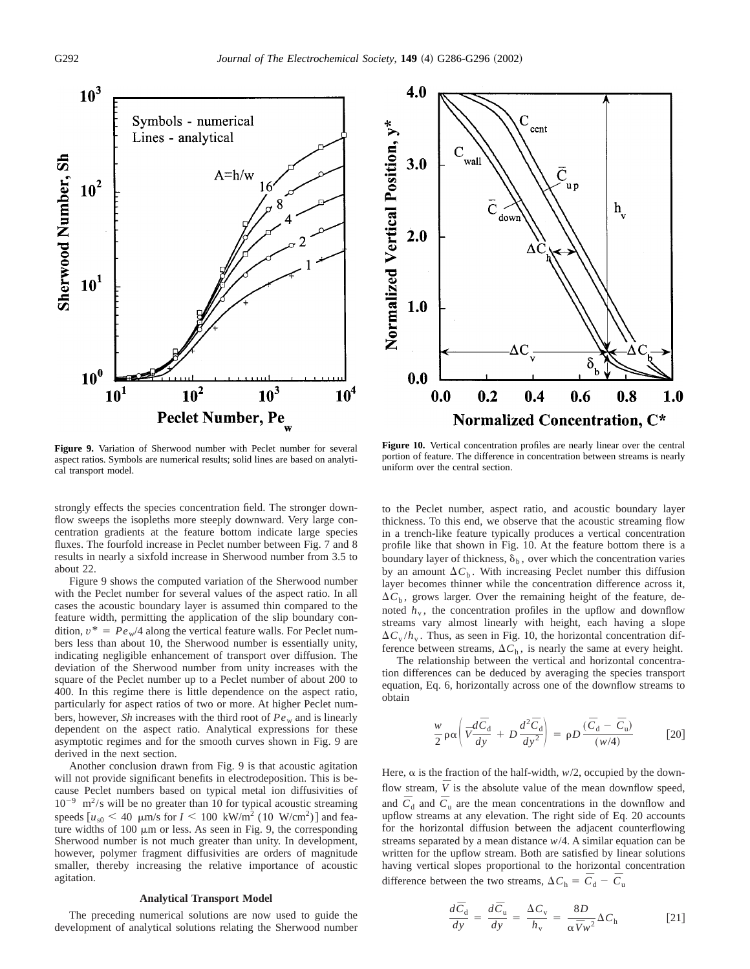



**Figure 9.** Variation of Sherwood number with Peclet number for several aspect ratios. Symbols are numerical results; solid lines are based on analytical transport model.

strongly effects the species concentration field. The stronger downflow sweeps the isopleths more steeply downward. Very large concentration gradients at the feature bottom indicate large species fluxes. The fourfold increase in Peclet number between Fig. 7 and 8 results in nearly a sixfold increase in Sherwood number from 3.5 to about 22.

Figure 9 shows the computed variation of the Sherwood number with the Peclet number for several values of the aspect ratio. In all cases the acoustic boundary layer is assumed thin compared to the feature width, permitting the application of the slip boundary condition,  $v^* = Pe_w/4$  along the vertical feature walls. For Peclet numbers less than about 10, the Sherwood number is essentially unity, indicating negligible enhancement of transport over diffusion. The deviation of the Sherwood number from unity increases with the square of the Peclet number up to a Peclet number of about 200 to 400. In this regime there is little dependence on the aspect ratio, particularly for aspect ratios of two or more. At higher Peclet numbers, however, *Sh* increases with the third root of  $Pe_w$  and is linearly dependent on the aspect ratio. Analytical expressions for these asymptotic regimes and for the smooth curves shown in Fig. 9 are derived in the next section.

Another conclusion drawn from Fig. 9 is that acoustic agitation will not provide significant benefits in electrodeposition. This is because Peclet numbers based on typical metal ion diffusivities of  $10^{-9}$  m<sup>2</sup>/s will be no greater than 10 for typical acoustic streaming speeds  $\left[u_{\rm so} \leq 40 \mu \text{m/s} \text{ for } I \leq 100 \text{ kW/m}^2 \text{ (10 W/cm}^2) \right]$  and feature widths of  $100 \mu m$  or less. As seen in Fig. 9, the corresponding Sherwood number is not much greater than unity. In development, however, polymer fragment diffusivities are orders of magnitude smaller, thereby increasing the relative importance of acoustic agitation.

# **Analytical Transport Model**

The preceding numerical solutions are now used to guide the development of analytical solutions relating the Sherwood number

**Figure 10.** Vertical concentration profiles are nearly linear over the central portion of feature. The difference in concentration between streams is nearly uniform over the central section.

to the Peclet number, aspect ratio, and acoustic boundary layer thickness. To this end, we observe that the acoustic streaming flow in a trench-like feature typically produces a vertical concentration profile like that shown in Fig. 10. At the feature bottom there is a boundary layer of thickness,  $\delta_b$ , over which the concentration varies by an amount  $\Delta C_b$ . With increasing Peclet number this diffusion layer becomes thinner while the concentration difference across it,  $\Delta C_{\rm b}$ , grows larger. Over the remaining height of the feature, denoted  $h<sub>v</sub>$ , the concentration profiles in the upflow and downflow streams vary almost linearly with height, each having a slope  $\Delta C_{\rm v}/h_{\rm v}$ . Thus, as seen in Fig. 10, the horizontal concentration difference between streams,  $\Delta C_h$ , is nearly the same at every height.

The relationship between the vertical and horizontal concentration differences can be deduced by averaging the species transport equation, Eq. 6, horizontally across one of the downflow streams to obtain

$$
\frac{w}{2}\rho\alpha\left(\overline{V}\frac{d\overline{C}_{d}}{dy} + D\frac{d^{2}\overline{C}_{d}}{dy^{2}}\right) = \rho D\frac{(\overline{C}_{d} - \overline{C}_{u})}{(w/4)} \tag{20}
$$

Here,  $\alpha$  is the fraction of the half-width,  $w/2$ , occupied by the downflow stream,  $\bar{V}$  is the absolute value of the mean downflow speed, and  $\overrightarrow{C}_d$  and  $\overrightarrow{C}_u$  are the mean concentrations in the downflow and upflow streams at any elevation. The right side of Eq. 20 accounts for the horizontal diffusion between the adjacent counterflowing streams separated by a mean distance *w*/4. A similar equation can be written for the upflow stream. Both are satisfied by linear solutions having vertical slopes proportional to the horizontal concentration difference between the two streams,  $\Delta C_h = \overline{C}_d - \overline{C}_u$ 

$$
\frac{d\bar{C}_d}{dy} = \frac{d\bar{C}_u}{dy} = \frac{\Delta C_v}{h_v} = \frac{8D}{\alpha \bar{V}w^2} \Delta C_h
$$
 [21]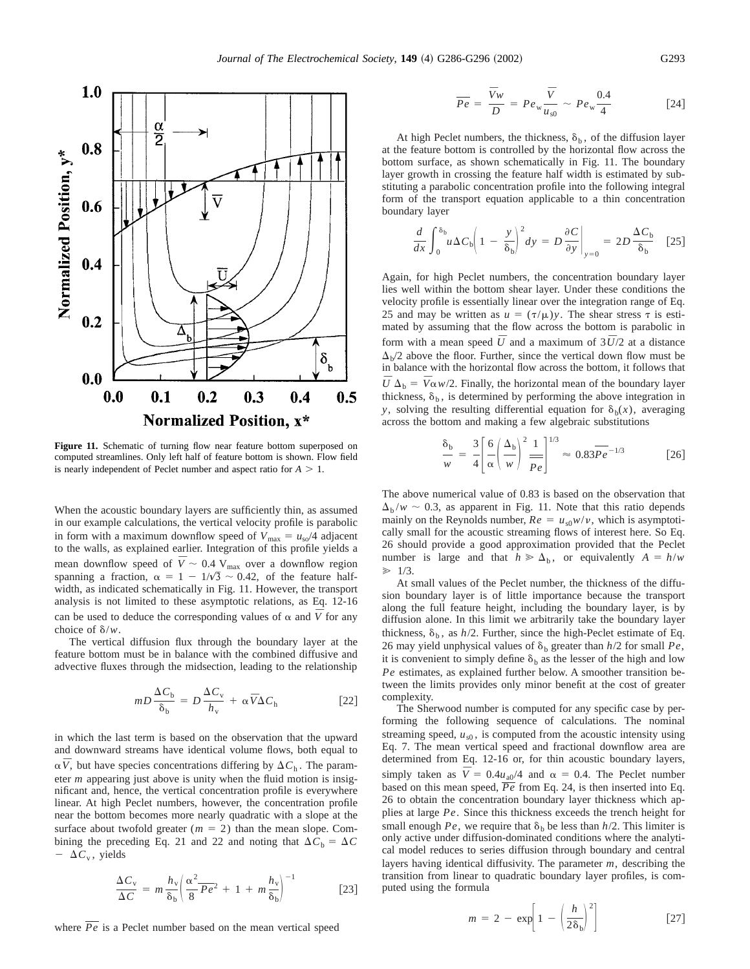

Figure 11. Schematic of turning flow near feature bottom superposed on computed streamlines. Only left half of feature bottom is shown. Flow field is nearly independent of Peclet number and aspect ratio for  $A > 1$ .

When the acoustic boundary layers are sufficiently thin, as assumed in our example calculations, the vertical velocity profile is parabolic in form with a maximum downflow speed of  $V_{\text{max}} = u_{\text{so}}/4$  adjacent to the walls, as explained earlier. Integration of this profile yields a mean downflow speed of  $\overline{V} \sim 0.4 \text{ V}_{\text{max}}$  over a downflow region spanning a fraction,  $\alpha = 1 - 1/\sqrt{3} \sim 0.42$ , of the feature halfwidth, as indicated schematically in Fig. 11. However, the transport analysis is not limited to these asymptotic relations, as Eq. 12-16 can be used to deduce the corresponding values of  $\alpha$  and  $\overline{V}$  for any choice of  $\delta/w$ .

The vertical diffusion flux through the boundary layer at the feature bottom must be in balance with the combined diffusive and advective fluxes through the midsection, leading to the relationship

$$
mD\frac{\Delta C_{\rm b}}{\delta_{\rm b}} = D\frac{\Delta C_{\rm v}}{h_{\rm v}} + \alpha \bar{V} \Delta C_{\rm h}
$$
 [22]

in which the last term is based on the observation that the upward and downward streams have identical volume flows, both equal to  $\alpha \bar{V}$ , but have species concentrations differing by  $\Delta C_h$ . The parameter *m* appearing just above is unity when the fluid motion is insignificant and, hence, the vertical concentration profile is everywhere linear. At high Peclet numbers, however, the concentration profile near the bottom becomes more nearly quadratic with a slope at the surface about twofold greater  $(m = 2)$  than the mean slope. Combining the preceding Eq. 21 and 22 and noting that  $\Delta C_b = \Delta C$  $- \Delta C_v$ , yields

$$
\frac{\Delta C_{\rm v}}{\Delta C} = m \frac{h_{\rm v}}{\delta_{\rm b}} \left( \frac{\alpha^2}{8} \overline{Pe^2} + 1 + m \frac{h_{\rm v}}{\delta_{\rm b}} \right)^{-1} \tag{23}
$$

where  $\overline{Pe}$  is a Peclet number based on the mean vertical speed

$$
\overline{Pe} = \frac{\overline{V}w}{D} = Pe_w \frac{\overline{V}}{u_{s0}} \sim Pe_w \frac{0.4}{4}
$$
 [24]

At high Peclet numbers, the thickness,  $\delta_b$ , of the diffusion layer at the feature bottom is controlled by the horizontal flow across the bottom surface, as shown schematically in Fig. 11. The boundary layer growth in crossing the feature half width is estimated by substituting a parabolic concentration profile into the following integral form of the transport equation applicable to a thin concentration boundary layer

$$
\frac{d}{dx}\int_0^{\delta_b} u \Delta C_b \bigg(1 - \frac{y}{\delta_b}\bigg)^2 dy = D \frac{\partial C}{\partial y}\bigg|_{y=0} = 2D \frac{\Delta C_b}{\delta_b} \quad [25]
$$

Again, for high Peclet numbers, the concentration boundary layer lies well within the bottom shear layer. Under these conditions the velocity profile is essentially linear over the integration range of Eq. 25 and may be written as  $u = (\tau/\mu)y$ . The shear stress  $\tau$  is estimated by assuming that the flow across the bottom is parabolic in form with a mean speed  $\bar{U}$  and a maximum of  $3\bar{U}/2$  at a distance  $\Delta_b/2$  above the floor. Further, since the vertical down flow must be in balance with the horizontal flow across the bottom, it follows that  $\overline{U} \Delta_{\rm b} = \overline{V} \alpha w/2$ . Finally, the horizontal mean of the boundary layer thickness,  $\delta_b$ , is determined by performing the above integration in *y*, solving the resulting differential equation for  $\delta_b(x)$ , averaging across the bottom and making a few algebraic substitutions

$$
\frac{\delta_{\rm b}}{w} = \frac{3}{4} \left[ \frac{6}{\alpha} \left( \frac{\Delta_{\rm b}}{w} \right)^2 \frac{1}{Pe} \right]^{1/3} \approx 0.83 \overline{Pe}^{-1/3} \tag{26}
$$

The above numerical value of 0.83 is based on the observation that  $\Delta_b/w \sim 0.3$ , as apparent in Fig. 11. Note that this ratio depends mainly on the Reynolds number,  $Re = u_{s0}w/v$ , which is asymptotically small for the acoustic streaming flows of interest here. So Eq. 26 should provide a good approximation provided that the Peclet number is large and that  $h \ge \Delta_b$ , or equivalently  $A = h/w$  $\geq 1/3$ .

At small values of the Peclet number, the thickness of the diffusion boundary layer is of little importance because the transport along the full feature height, including the boundary layer, is by diffusion alone. In this limit we arbitrarily take the boundary layer thickness,  $\delta_b$ , as  $h/2$ . Further, since the high-Peclet estimate of Eq. 26 may yield unphysical values of  $\delta_b$  greater than  $h/2$  for small  $Pe$ , it is convenient to simply define  $\delta_b$  as the lesser of the high and low *Pe* estimates, as explained further below. A smoother transition between the limits provides only minor benefit at the cost of greater complexity.

The Sherwood number is computed for any specific case by performing the following sequence of calculations. The nominal streaming speed,  $u_{s0}$ , is computed from the acoustic intensity using Eq. 7. The mean vertical speed and fractional downflow area are determined from Eq. 12-16 or, for thin acoustic boundary layers, simply taken as  $\overline{V} = 0.4u_{a0}/4$  and  $\alpha = 0.4$ . The Peclet number based on this mean speed,  $\overline{Pe}$  from Eq. 24, is then inserted into Eq. 26 to obtain the concentration boundary layer thickness which applies at large *Pe*. Since this thickness exceeds the trench height for small enough *Pe*, we require that  $\delta_b$  be less than  $h/2$ . This limiter is only active under diffusion-dominated conditions where the analytical model reduces to series diffusion through boundary and central layers having identical diffusivity. The parameter *m*, describing the transition from linear to quadratic boundary layer profiles, is computed using the formula

$$
m = 2 - \exp\left[1 - \left(\frac{h}{2\delta_b}\right)^2\right]
$$
 [27]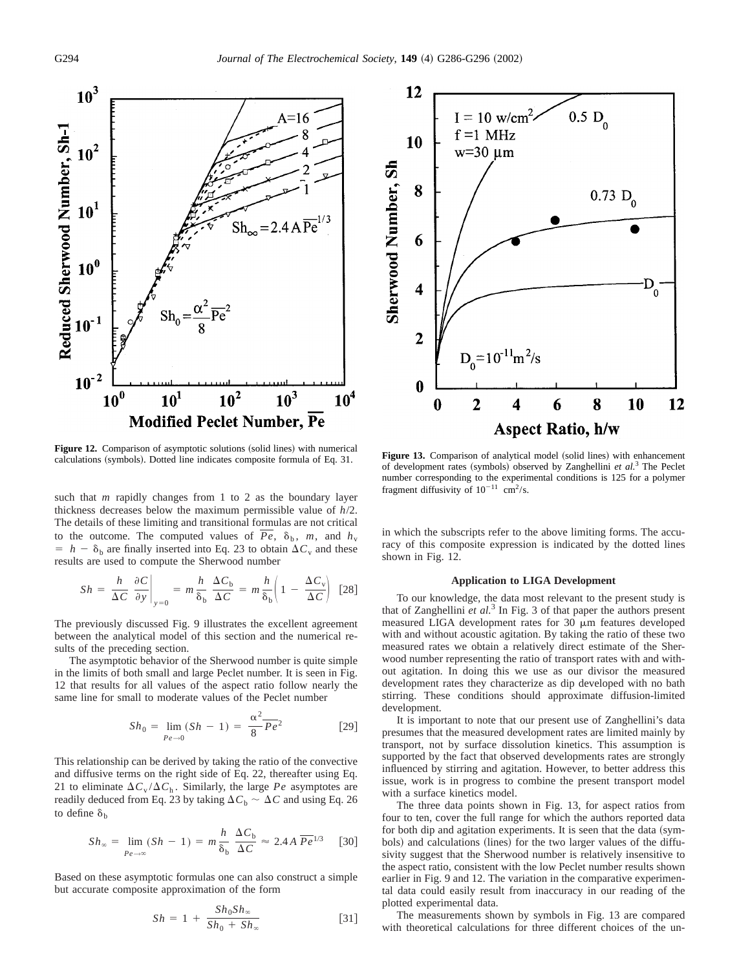

Figure 12. Comparison of asymptotic solutions (solid lines) with numerical regare 12. Comparison of asymptotic solidions (solid lines) with indirection **Figure 13.** Comparison of analytical model (solid lines) with enhancement calculations (symbols). Dotted line indicates composite formula of Eq.

such that *m* rapidly changes from 1 to 2 as the boundary layer thickness decreases below the maximum permissible value of *h*/2. The details of these limiting and transitional formulas are not critical to the outcome. The computed values of  $\overline{Pe}$ ,  $\delta_b$ , *m*, and  $h_v$  $= h - \delta_b$  are finally inserted into Eq. 23 to obtain  $\Delta C_v$  and these results are used to compute the Sherwood number

$$
Sh = \left. \frac{h}{\Delta C} \, \frac{\partial C}{\partial y} \right|_{y=0} = m \frac{h}{\delta_b} \, \frac{\Delta C_b}{\Delta C} = m \frac{h}{\delta_b} \bigg( 1 - \frac{\Delta C_v}{\Delta C} \bigg) \tag{28}
$$

The previously discussed Fig. 9 illustrates the excellent agreement between the analytical model of this section and the numerical results of the preceding section.

The asymptotic behavior of the Sherwood number is quite simple in the limits of both small and large Peclet number. It is seen in Fig. 12 that results for all values of the aspect ratio follow nearly the same line for small to moderate values of the Peclet number

$$
Sh_0 = \lim_{P \in \{0\}} (Sh - 1) = \frac{\alpha^2}{8} \overline{Pe^2}
$$
 [29]

This relationship can be derived by taking the ratio of the convective and diffusive terms on the right side of Eq. 22, thereafter using Eq. 21 to eliminate  $\Delta C_v / \Delta C_h$ . Similarly, the large *Pe* asymptotes are readily deduced from Eq. 23 by taking  $\Delta C_b \sim \Delta C$  and using Eq. 26 to define  $\delta_b$ 

$$
Sh_{\infty} = \lim_{P e \to \infty} (Sh - 1) = m \frac{h}{\delta_b} \frac{\Delta C_b}{\Delta C} \approx 2.4 A \overline{Pe}^{1/3} \quad [30]
$$

Based on these asymptotic formulas one can also construct a simple but accurate composite approximation of the form

$$
Sh = 1 + \frac{Sh_0 Sh_{\infty}}{Sh_0 + Sh_{\infty}}
$$
 [31]



of development rates (symbols) observed by Zanghellini *et al.*<sup>3</sup> The Peclet number corresponding to the experimental conditions is 125 for a polymer fragment diffusivity of  $10^{-11}$  cm<sup>2</sup>/s.

in which the subscripts refer to the above limiting forms. The accuracy of this composite expression is indicated by the dotted lines shown in Fig. 12.

# **Application to LIGA Development**

To our knowledge, the data most relevant to the present study is that of Zanghellini *et al.*<sup>3</sup> In Fig. 3 of that paper the authors present measured LIGA development rates for  $30 \mu m$  features developed with and without acoustic agitation. By taking the ratio of these two measured rates we obtain a relatively direct estimate of the Sherwood number representing the ratio of transport rates with and without agitation. In doing this we use as our divisor the measured development rates they characterize as dip developed with no bath stirring. These conditions should approximate diffusion-limited development.

It is important to note that our present use of Zanghellini's data presumes that the measured development rates are limited mainly by transport, not by surface dissolution kinetics. This assumption is supported by the fact that observed developments rates are strongly influenced by stirring and agitation. However, to better address this issue, work is in progress to combine the present transport model with a surface kinetics model.

The three data points shown in Fig. 13, for aspect ratios from four to ten, cover the full range for which the authors reported data for both dip and agitation experiments. It is seen that the data (symbols) and calculations (lines) for the two larger values of the diffusivity suggest that the Sherwood number is relatively insensitive to the aspect ratio, consistent with the low Peclet number results shown earlier in Fig. 9 and 12. The variation in the comparative experimental data could easily result from inaccuracy in our reading of the plotted experimental data.

The measurements shown by symbols in Fig. 13 are compared with theoretical calculations for three different choices of the un-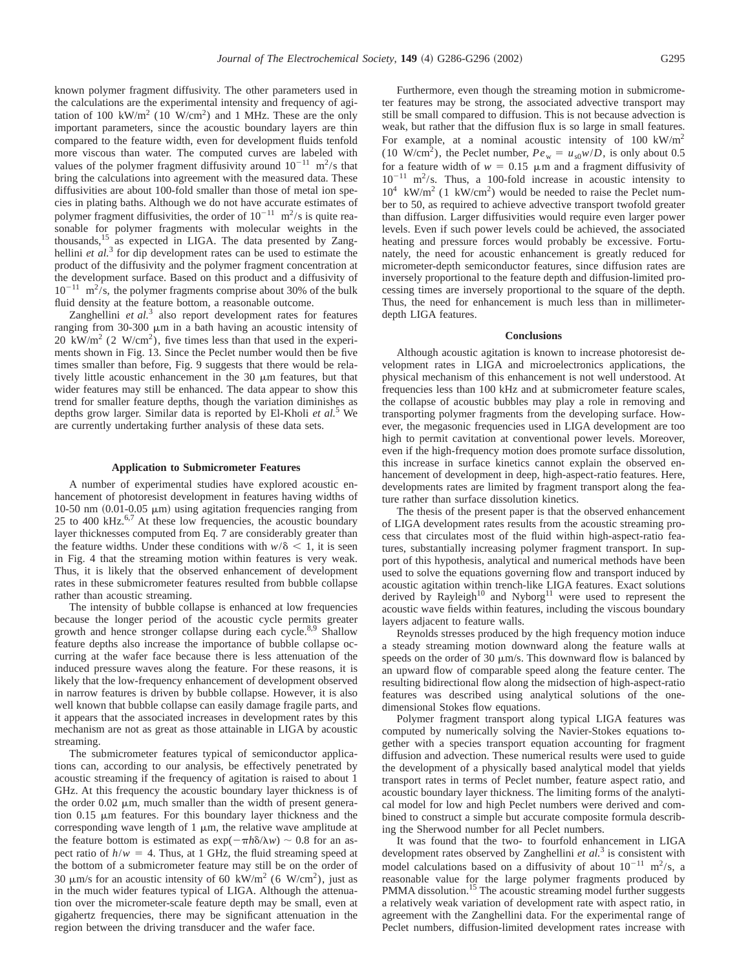known polymer fragment diffusivity. The other parameters used in the calculations are the experimental intensity and frequency of agitation of 100 kW/m<sup>2</sup> (10 W/cm<sup>2</sup>) and 1 MHz. These are the only important parameters, since the acoustic boundary layers are thin compared to the feature width, even for development fluids tenfold more viscous than water. The computed curves are labeled with values of the polymer fragment diffusivity around  $10^{-11}$  m<sup>2</sup>/s that bring the calculations into agreement with the measured data. These diffusivities are about 100-fold smaller than those of metal ion species in plating baths. Although we do not have accurate estimates of polymer fragment diffusivities, the order of  $10^{-11}$  m<sup>2</sup>/s is quite reasonable for polymer fragments with molecular weights in the thousands,15 as expected in LIGA. The data presented by Zanghellini *et al.*<sup>3</sup> for dip development rates can be used to estimate the product of the diffusivity and the polymer fragment concentration at the development surface. Based on this product and a diffusivity of  $10^{-11}$  m<sup>2</sup>/s, the polymer fragments comprise about 30% of the bulk fluid density at the feature bottom, a reasonable outcome.

Zanghellini *et al.*<sup>3</sup> also report development rates for features ranging from  $30-300 \mu m$  in a bath having an acoustic intensity of 20 kW/m<sup>2</sup> (2 W/cm<sup>2</sup>), five times less than that used in the experiments shown in Fig. 13. Since the Peclet number would then be five times smaller than before, Fig. 9 suggests that there would be relatively little acoustic enhancement in the  $30 \mu m$  features, but that wider features may still be enhanced. The data appear to show this trend for smaller feature depths, though the variation diminishes as depths grow larger. Similar data is reported by El-Kholi *et al.*<sup>5</sup> We are currently undertaking further analysis of these data sets.

#### **Application to Submicrometer Features**

A number of experimental studies have explored acoustic enhancement of photoresist development in features having widths of 10-50 nm  $(0.01-0.05 \mu m)$  using agitation frequencies ranging from 25 to 400 kHz.6,7 At these low frequencies, the acoustic boundary layer thicknesses computed from Eq. 7 are considerably greater than the feature widths. Under these conditions with  $w/\delta \leq 1$ , it is seen in Fig. 4 that the streaming motion within features is very weak. Thus, it is likely that the observed enhancement of development rates in these submicrometer features resulted from bubble collapse rather than acoustic streaming.

The intensity of bubble collapse is enhanced at low frequencies because the longer period of the acoustic cycle permits greater growth and hence stronger collapse during each cycle.<sup>8,9</sup> Shallow feature depths also increase the importance of bubble collapse occurring at the wafer face because there is less attenuation of the induced pressure waves along the feature. For these reasons, it is likely that the low-frequency enhancement of development observed in narrow features is driven by bubble collapse. However, it is also well known that bubble collapse can easily damage fragile parts, and it appears that the associated increases in development rates by this mechanism are not as great as those attainable in LIGA by acoustic streaming.

The submicrometer features typical of semiconductor applications can, according to our analysis, be effectively penetrated by acoustic streaming if the frequency of agitation is raised to about 1 GHz. At this frequency the acoustic boundary layer thickness is of the order  $0.02 \mu m$ , much smaller than the width of present generation  $0.15$   $\mu$ m features. For this boundary layer thickness and the corresponding wave length of  $1 \mu m$ , the relative wave amplitude at the feature bottom is estimated as  $\exp(-\pi h \delta/\lambda w) \sim 0.8$  for an aspect ratio of  $h/w = 4$ . Thus, at 1 GHz, the fluid streaming speed at the bottom of a submicrometer feature may still be on the order of 30  $\mu$ m/s for an acoustic intensity of 60 kW/m<sup>2</sup> (6 W/cm<sup>2</sup>), just as in the much wider features typical of LIGA. Although the attenuation over the micrometer-scale feature depth may be small, even at gigahertz frequencies, there may be significant attenuation in the region between the driving transducer and the wafer face.

Furthermore, even though the streaming motion in submicrometer features may be strong, the associated advective transport may still be small compared to diffusion. This is not because advection is weak, but rather that the diffusion flux is so large in small features. For example, at a nominal acoustic intensity of  $100 \text{ kW/m}^2$ (10 W/cm<sup>2</sup>), the Peclet number,  $Pe_w = u_{s0}w/D$ , is only about 0.5 for a feature width of  $w = 0.15 \mu m$  and a fragment diffusivity of  $10^{-11}$  m<sup>2</sup>/s. Thus, a 100-fold increase in acoustic intensity to  $10^4$  kW/m<sup>2</sup> (1 kW/cm<sup>2</sup>) would be needed to raise the Peclet number to 50, as required to achieve advective transport twofold greater than diffusion. Larger diffusivities would require even larger power levels. Even if such power levels could be achieved, the associated heating and pressure forces would probably be excessive. Fortunately, the need for acoustic enhancement is greatly reduced for micrometer-depth semiconductor features, since diffusion rates are inversely proportional to the feature depth and diffusion-limited processing times are inversely proportional to the square of the depth. Thus, the need for enhancement is much less than in millimeterdepth LIGA features.

## **Conclusions**

Although acoustic agitation is known to increase photoresist development rates in LIGA and microelectronics applications, the physical mechanism of this enhancement is not well understood. At frequencies less than 100 kHz and at submicrometer feature scales, the collapse of acoustic bubbles may play a role in removing and transporting polymer fragments from the developing surface. However, the megasonic frequencies used in LIGA development are too high to permit cavitation at conventional power levels. Moreover, even if the high-frequency motion does promote surface dissolution, this increase in surface kinetics cannot explain the observed enhancement of development in deep, high-aspect-ratio features. Here, developments rates are limited by fragment transport along the feature rather than surface dissolution kinetics.

The thesis of the present paper is that the observed enhancement of LIGA development rates results from the acoustic streaming process that circulates most of the fluid within high-aspect-ratio features, substantially increasing polymer fragment transport. In support of this hypothesis, analytical and numerical methods have been used to solve the equations governing flow and transport induced by acoustic agitation within trench-like LIGA features. Exact solutions derived by Rayleigh<sup>10</sup> and Nyborg<sup>11</sup> were used to represent the acoustic wave fields within features, including the viscous boundary layers adjacent to feature walls.

Reynolds stresses produced by the high frequency motion induce a steady streaming motion downward along the feature walls at speeds on the order of 30  $\mu$ m/s. This downward flow is balanced by an upward flow of comparable speed along the feature center. The resulting bidirectional flow along the midsection of high-aspect-ratio features was described using analytical solutions of the onedimensional Stokes flow equations.

Polymer fragment transport along typical LIGA features was computed by numerically solving the Navier-Stokes equations together with a species transport equation accounting for fragment diffusion and advection. These numerical results were used to guide the development of a physically based analytical model that yields transport rates in terms of Peclet number, feature aspect ratio, and acoustic boundary layer thickness. The limiting forms of the analytical model for low and high Peclet numbers were derived and combined to construct a simple but accurate composite formula describing the Sherwood number for all Peclet numbers.

It was found that the two- to fourfold enhancement in LIGA development rates observed by Zanghellini *et al.*<sup>3</sup> is consistent with model calculations based on a diffusivity of about  $10^{-11}$  m<sup>2</sup>/s, a reasonable value for the large polymer fragments produced by PMMA dissolution.<sup>15</sup> The acoustic streaming model further suggests a relatively weak variation of development rate with aspect ratio, in agreement with the Zanghellini data. For the experimental range of Peclet numbers, diffusion-limited development rates increase with